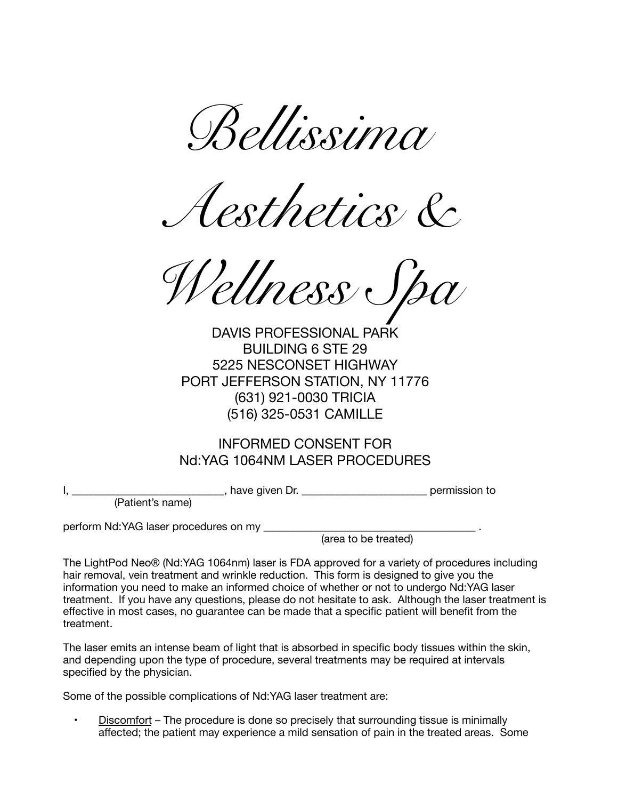*Bellissima* 

*Aesthetics &* 

*ellness* c

DAVIS PROFESSIONAL PARK BUILDING 6 STE 29 5225 NESCONSET HIGHWAY PORT JEFFERSON STATION, NY 11776 (631) 921-0030 TRICIA (516) 325-0531 CAMILLE

## INFORMED CONSENT FOR Nd:YAG 1064NM LASER PROCEDURES

I, \_\_\_\_\_\_\_\_\_\_\_\_\_\_\_\_\_\_\_\_\_\_\_\_\_\_\_\_, have given Dr. \_\_\_\_\_\_\_\_\_\_\_\_\_\_\_\_\_\_\_\_\_\_\_ permission to

(Patient's name)

perform Nd:YAG laser procedures on my \_\_\_\_\_\_\_\_\_\_\_\_\_\_\_\_\_\_\_\_\_\_\_\_\_\_\_\_\_\_\_\_\_\_\_\_\_\_\_ .

(area to be treated)

The LightPod Neo® (Nd:YAG 1064nm) laser is FDA approved for a variety of procedures including hair removal, vein treatment and wrinkle reduction. This form is designed to give you the information you need to make an informed choice of whether or not to undergo Nd:YAG laser treatment. If you have any questions, please do not hesitate to ask. Although the laser treatment is effective in most cases, no guarantee can be made that a specific patient will benefit from the treatment.

The laser emits an intense beam of light that is absorbed in specific body tissues within the skin, and depending upon the type of procedure, several treatments may be required at intervals specified by the physician.

Some of the possible complications of Nd:YAG laser treatment are:

Discomfort – The procedure is done so precisely that surrounding tissue is minimally affected; the patient may experience a mild sensation of pain in the treated areas. Some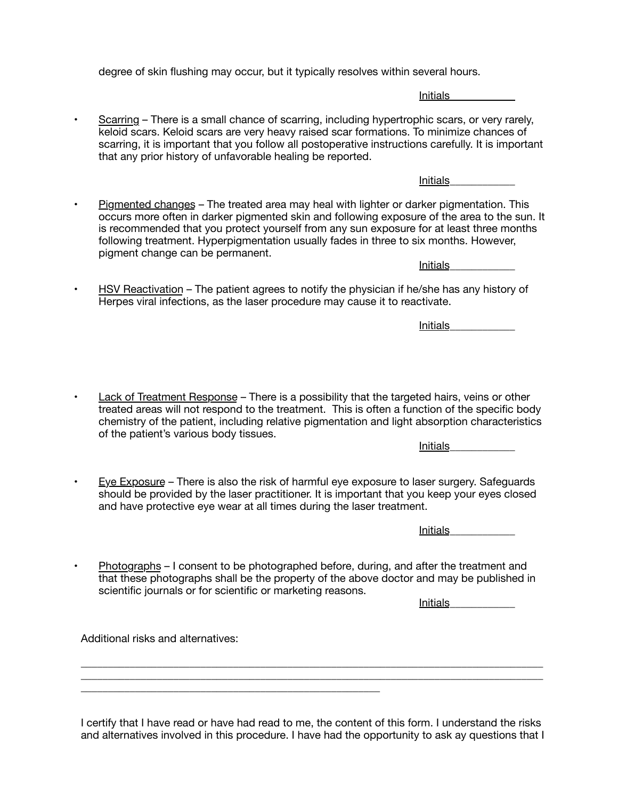degree of skin flushing may occur, but it typically resolves within several hours.

Initials\_\_\_\_\_\_\_\_\_\_\_\_

• Scarring – There is a small chance of scarring, including hypertrophic scars, or very rarely, keloid scars. Keloid scars are very heavy raised scar formations. To minimize chances of scarring, it is important that you follow all postoperative instructions carefully. It is important that any prior history of unfavorable healing be reported.

Initials\_\_\_\_\_\_\_\_\_\_\_\_

• Pigmented changes – The treated area may heal with lighter or darker pigmentation. This occurs more often in darker pigmented skin and following exposure of the area to the sun. It is recommended that you protect yourself from any sun exposure for at least three months following treatment. Hyperpigmentation usually fades in three to six months. However, pigment change can be permanent.

Initials\_\_\_\_\_\_\_\_\_\_\_\_

• HSV Reactivation – The patient agrees to notify the physician if he/she has any history of Herpes viral infections, as the laser procedure may cause it to reactivate.

Initials\_\_\_\_\_\_\_\_\_\_\_\_

• Lack of Treatment Response – There is a possibility that the targeted hairs, veins or other treated areas will not respond to the treatment. This is often a function of the specific body chemistry of the patient, including relative pigmentation and light absorption characteristics of the patient's various body tissues.

Initials\_\_\_\_\_\_\_\_\_\_\_\_

• Eye Exposure – There is also the risk of harmful eye exposure to laser surgery. Safeguards should be provided by the laser practitioner. It is important that you keep your eyes closed and have protective eye wear at all times during the laser treatment.

Initials\_\_\_\_\_\_\_\_\_\_\_\_

• Photographs – I consent to be photographed before, during, and after the treatment and that these photographs shall be the property of the above doctor and may be published in scientific journals or for scientific or marketing reasons.

Initials\_\_\_\_\_\_\_\_\_\_\_\_

Additional risks and alternatives:

\_\_\_\_\_\_\_\_\_\_\_\_\_\_\_\_\_\_\_\_\_\_\_\_\_\_\_\_\_\_\_\_\_\_\_\_\_\_\_\_\_\_\_\_\_\_\_\_\_\_\_\_\_\_\_

I certify that I have read or have had read to me, the content of this form. I understand the risks and alternatives involved in this procedure. I have had the opportunity to ask ay questions that I

 $\_$  , and the set of the set of the set of the set of the set of the set of the set of the set of the set of the set of the set of the set of the set of the set of the set of the set of the set of the set of the set of th \_\_\_\_\_\_\_\_\_\_\_\_\_\_\_\_\_\_\_\_\_\_\_\_\_\_\_\_\_\_\_\_\_\_\_\_\_\_\_\_\_\_\_\_\_\_\_\_\_\_\_\_\_\_\_\_\_\_\_\_\_\_\_\_\_\_\_\_\_\_\_\_\_\_\_\_\_\_\_\_\_\_\_\_\_